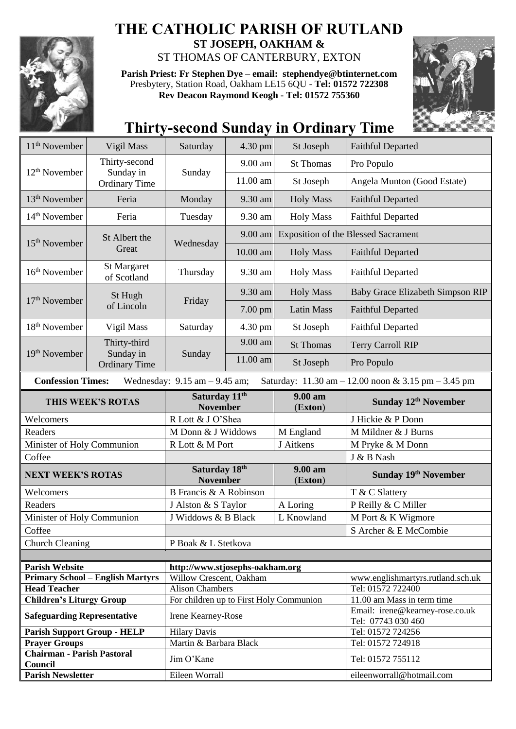

## **THE CATHOLIC PARISH OF RUTLAND ST JOSEPH, OAKHAM &**

ST THOMAS OF CANTERBURY, EXTON

**Parish Priest: Fr Stephen Dye** – **[email: stephendye@btinternet.com](mailto:email:%20%20stephendye@btinternet.com)** Presbytery, Station Road, Oakham LE15 6QU - **Tel: 01572 722308 Rev Deacon Raymond Keogh - Tel: 01572 755360**



## **Thirty-second Sunday in Ordinary Time**

| 11 <sup>th</sup> November                                                                                                                               | Vigil Mass                              | Saturday<br>4.30 pm                                           |                             | St Joseph          | <b>Faithful Departed</b>                                      |  |  |
|---------------------------------------------------------------------------------------------------------------------------------------------------------|-----------------------------------------|---------------------------------------------------------------|-----------------------------|--------------------|---------------------------------------------------------------|--|--|
|                                                                                                                                                         | Thirty-second                           |                                                               | 9.00 am                     | <b>St Thomas</b>   | Pro Populo                                                    |  |  |
| $12th$ November                                                                                                                                         | Sunday in<br><b>Ordinary Time</b>       | Sunday                                                        | 11.00 am                    | St Joseph          | Angela Munton (Good Estate)                                   |  |  |
| 13 <sup>th</sup> November                                                                                                                               | Feria                                   | 9.30 am<br>Monday                                             |                             | <b>Holy Mass</b>   | <b>Faithful Departed</b>                                      |  |  |
| $14th$ November                                                                                                                                         | Feria                                   | Tuesday<br>9.30 am                                            |                             | <b>Holy Mass</b>   | <b>Faithful Departed</b>                                      |  |  |
|                                                                                                                                                         | St Albert the                           | Wednesday                                                     | 9.00 am                     |                    | <b>Exposition of the Blessed Sacrament</b>                    |  |  |
| 15 <sup>th</sup> November                                                                                                                               | Great                                   |                                                               | 10.00 am                    | <b>Holy Mass</b>   | <b>Faithful Departed</b>                                      |  |  |
| 16 <sup>th</sup> November                                                                                                                               | St Margaret<br>of Scotland              | Thursday                                                      | 9.30 am<br><b>Holy Mass</b> |                    | <b>Faithful Departed</b>                                      |  |  |
|                                                                                                                                                         | St Hugh                                 | Friday                                                        | 9.30 am                     | <b>Holy Mass</b>   | Baby Grace Elizabeth Simpson RIP                              |  |  |
| 17 <sup>th</sup> November                                                                                                                               | of Lincoln                              |                                                               | 7.00 pm                     | <b>Latin Mass</b>  | <b>Faithful Departed</b>                                      |  |  |
| 18 <sup>th</sup> November                                                                                                                               | Vigil Mass                              | Saturday                                                      | 4.30 pm                     | St Joseph          | <b>Faithful Departed</b>                                      |  |  |
|                                                                                                                                                         | Thirty-third                            | Sunday                                                        | 9.00 am                     | <b>St Thomas</b>   | <b>Terry Carroll RIP</b>                                      |  |  |
| 19th November                                                                                                                                           | Sunday in<br><b>Ordinary Time</b>       |                                                               | 11.00 am                    | St Joseph          | Pro Populo                                                    |  |  |
| <b>Confession Times:</b><br>Saturday: $11.30 \text{ am} - 12.00 \text{ noon} \& 3.15 \text{ pm} - 3.45 \text{ pm}$<br>Wednesday: $9.15$ am $- 9.45$ am; |                                         |                                                               |                             |                    |                                                               |  |  |
| THIS WEEK'S ROTAS                                                                                                                                       |                                         | Saturday 11 <sup>th</sup><br><b>November</b>                  |                             | 9.00 am<br>(Exton) | Sunday 12 <sup>th</sup> November                              |  |  |
| Welcomers                                                                                                                                               |                                         | R Lott & J O'Shea                                             |                             |                    | J Hickie & P Donn                                             |  |  |
| Readers                                                                                                                                                 |                                         | M Donn & J Widdows                                            |                             | M England          | M Mildner & J Burns                                           |  |  |
| Minister of Holy Communion                                                                                                                              |                                         | R Lott & M Port                                               |                             | J Aitkens          | M Pryke & M Donn                                              |  |  |
|                                                                                                                                                         |                                         |                                                               |                             |                    |                                                               |  |  |
| Coffee                                                                                                                                                  |                                         |                                                               |                             |                    | J & B Nash                                                    |  |  |
| <b>NEXT WEEK'S ROTAS</b>                                                                                                                                |                                         | Saturday 18th<br><b>November</b>                              |                             | 9.00 am<br>(Exton) | Sunday 19th November                                          |  |  |
| Welcomers                                                                                                                                               |                                         | B Francis & A Robinson                                        |                             |                    | T & C Slattery                                                |  |  |
| Readers                                                                                                                                                 |                                         | J Alston & S Taylor                                           |                             | A Loring           | P Reilly & C Miller                                           |  |  |
| Minister of Holy Communion                                                                                                                              |                                         | J Widdows & B Black                                           |                             | L Knowland         | M Port & K Wigmore                                            |  |  |
| Coffee                                                                                                                                                  |                                         |                                                               |                             |                    | S Archer & E McCombie                                         |  |  |
| <b>Church Cleaning</b>                                                                                                                                  |                                         | P Boak & L Stetkova                                           |                             |                    |                                                               |  |  |
|                                                                                                                                                         |                                         |                                                               |                             |                    |                                                               |  |  |
| <b>Parish Website</b>                                                                                                                                   |                                         | http://www.stjosephs-oakham.org                               |                             |                    |                                                               |  |  |
|                                                                                                                                                         | <b>Primary School - English Martyrs</b> | Willow Crescent, Oakham                                       |                             |                    | www.englishmartyrs.rutland.sch.uk                             |  |  |
| <b>Head Teacher</b>                                                                                                                                     |                                         | <b>Alison Chambers</b>                                        |                             |                    | Tel: 01572 722400                                             |  |  |
| <b>Children's Liturgy Group</b><br><b>Safeguarding Representative</b>                                                                                   |                                         | For children up to First Holy Communion<br>Irene Kearney-Rose |                             |                    | 11.00 am Mass in term time<br>Email: irene@kearney-rose.co.uk |  |  |
|                                                                                                                                                         |                                         |                                                               |                             |                    | Tel: 07743 030 460                                            |  |  |
| <b>Parish Support Group - HELP</b><br><b>Prayer Groups</b>                                                                                              |                                         | <b>Hilary Davis</b><br>Martin & Barbara Black                 |                             |                    | Tel: 01572 724256<br>Tel: 01572 724918                        |  |  |
| <b>Chairman - Parish Pastoral</b><br>Council                                                                                                            |                                         | Jim O'Kane                                                    |                             |                    | Tel: 01572 755112                                             |  |  |